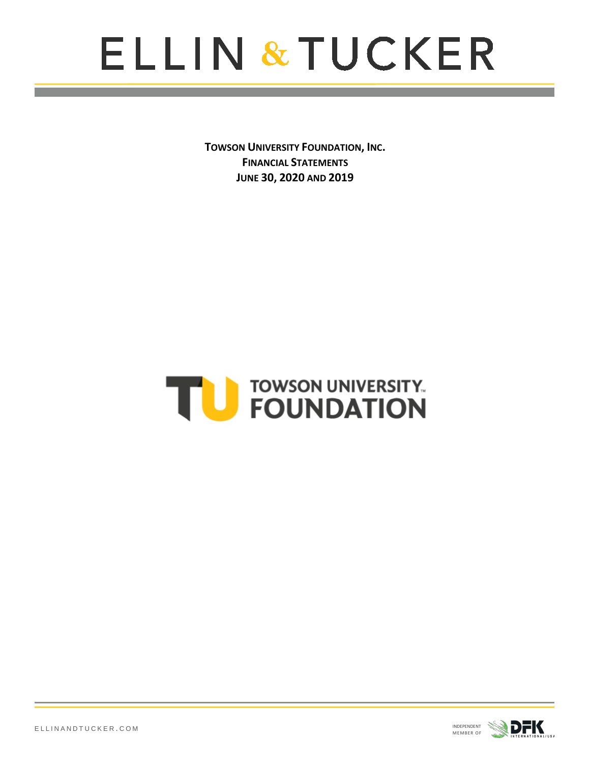

**TOWSON UNIVERSITY FOUNDATION, INC. FINANCIAL STATEMENTS JUNE 30, 2020 AND 2019**



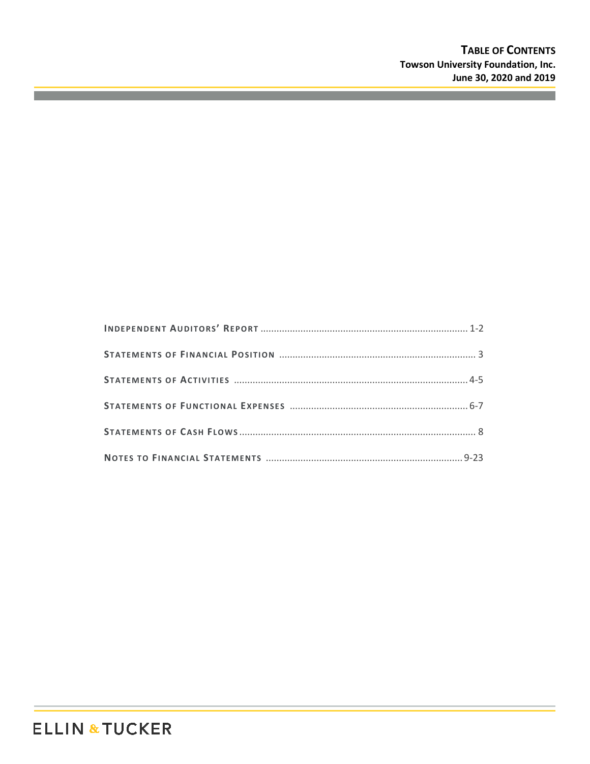m.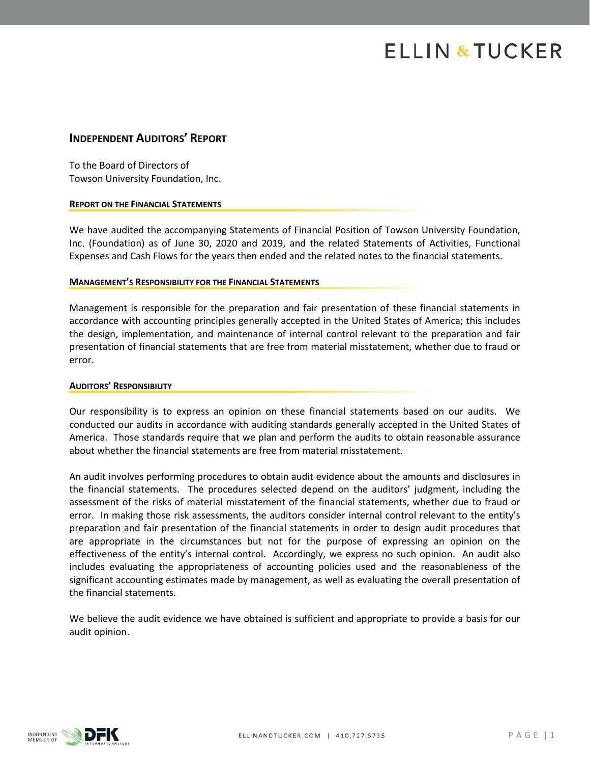# **ELLIN & TUCKER**

### **INDEPENDENT AUDITORS' REPORT**

To the Board of Directors of Towson University Foundation, Inc.

#### **REPORT ON THE FINANCIAL STATEMENTS**

We have audited the accompanying Statements of Financial Position of Towson University Foundation, Inc. (Foundation) as of June 30, 2020 and 2019, and the related Statements of Activities, Functional Expenses and Cash Flows for the years then ended and the related notes to the financial statements.

#### **MANAGEMENT'S RESPONSIBILITY FOR THE FINANCIAL STATEMENTS**

Management is responsible for the preparation and fair presentation of these financial statements in accordance with accounting principles generally accepted in the United States of America; this includes the design, implementation, and maintenance of internal control relevant to the preparation and fair presentation of financial statements that are free from material misstatement, whether due to fraud or error.

#### **AUDITORS' RESPONSIBILITY**

Our responsibility is to express an opinion on these financial statements based on our audits. We conducted our audits in accordance with auditing standards generally accepted in the United States of America. Those standards require that we plan and perform the audits to obtain reasonable assurance about whether the financial statements are free from material misstatement.

An audit involves performing procedures to obtain audit evidence about the amounts and disclosures in the financial statements. The procedures selected depend on the auditors' judgment, including the assessment of the risks of material misstatement of the financial statements, whether due to fraud or error. In making those risk assessments, the auditors consider internal control relevant to the entity's preparation and fair presentation of the financial statements in order to design audit procedures that are appropriate in the circumstances but not for the purpose of expressing an opinion on the effectiveness of the entity's internal control. Accordingly, we express no such opinion. An audit also includes evaluating the appropriateness of accounting policies used and the reasonableness of the significant accounting estimates made by management, as well as evaluating the overall presentation of the financial statements.

We believe the audit evidence we have obtained is sufficient and appropriate to provide a basis for our audit opinion.

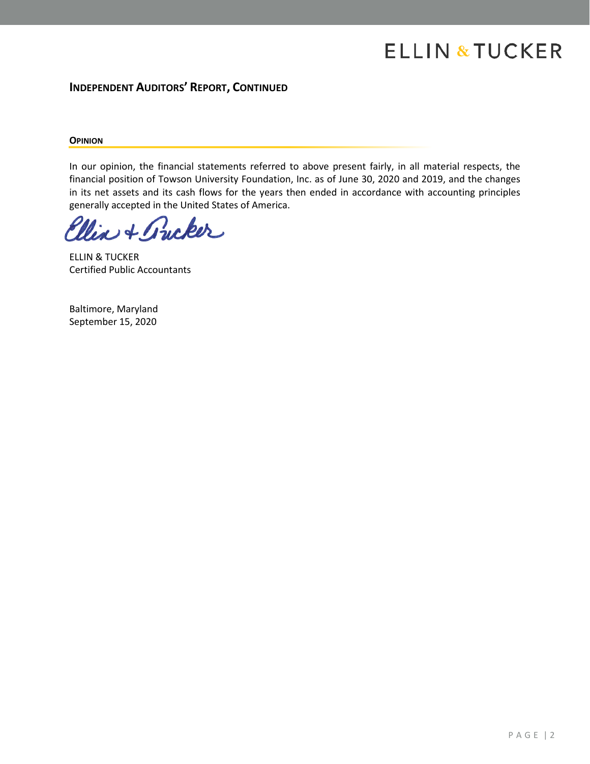# **ELLIN & TUCKER**

# **INDEPENDENT AUDITORS' REPORT, CONTINUED**

#### **OPINION**

In our opinion, the financial statements referred to above present fairly, in all material respects, the financial position of Towson University Foundation, Inc. as of June 30, 2020 and 2019, and the changes in its net assets and its cash flows for the years then ended in accordance with accounting principles generally accepted in the United States of America.

llia + Gucker

ELLIN & TUCKER Certified Public Accountants

Baltimore, Maryland September 15, 2020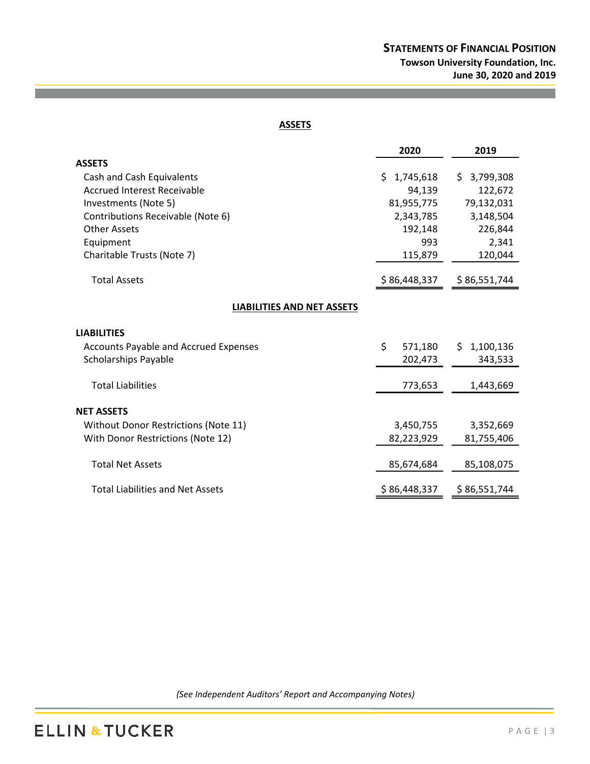## **ASSETS**

|                                              | 2020            | 2019             |
|----------------------------------------------|-----------------|------------------|
| <b>ASSETS</b>                                |                 |                  |
| Cash and Cash Equivalents                    | 1,745,618<br>S. | \$3,799,308      |
| <b>Accrued Interest Receivable</b>           | 94,139          | 122,672          |
| Investments (Note 5)                         | 81,955,775      | 79,132,031       |
| Contributions Receivable (Note 6)            | 2,343,785       | 3,148,504        |
| <b>Other Assets</b>                          | 192,148         | 226,844          |
| Equipment                                    | 993             | 2,341            |
| Charitable Trusts (Note 7)                   | 115,879         | 120,044          |
| <b>Total Assets</b>                          | \$86,448,337    | \$86,551,744     |
| <b>LIABILITIES AND NET ASSETS</b>            |                 |                  |
| <b>LIABILITIES</b>                           |                 |                  |
| <b>Accounts Payable and Accrued Expenses</b> | \$<br>571,180   | \$.<br>1,100,136 |
| <b>Scholarships Payable</b>                  | 202,473         | 343,533          |
| <b>Total Liabilities</b>                     | 773,653         | 1,443,669        |
| <b>NET ASSETS</b>                            |                 |                  |
| Without Donor Restrictions (Note 11)         | 3,450,755       | 3,352,669        |
| With Donor Restrictions (Note 12)            | 82,223,929      | 81,755,406       |
| <b>Total Net Assets</b>                      | 85,674,684      | 85,108,075       |
| <b>Total Liabilities and Net Assets</b>      | \$86,448,337    | \$86,551,744     |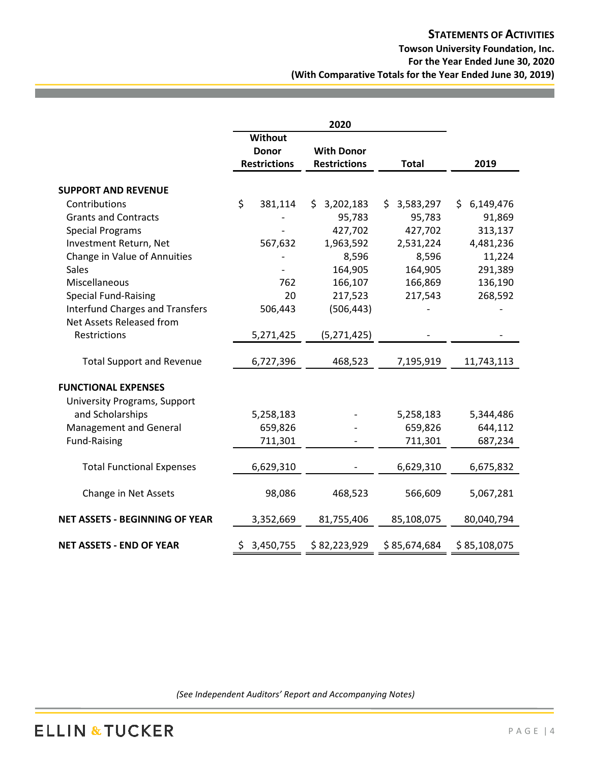|                                        | 2020                |                     |                  |                 |
|----------------------------------------|---------------------|---------------------|------------------|-----------------|
|                                        | Without             |                     |                  |                 |
|                                        | <b>Donor</b>        | <b>With Donor</b>   |                  |                 |
|                                        | <b>Restrictions</b> | <b>Restrictions</b> | <b>Total</b>     | 2019            |
| <b>SUPPORT AND REVENUE</b>             |                     |                     |                  |                 |
| Contributions                          | \$<br>381,114       | Ś.<br>3,202,183     | 3,583,297<br>\$. | \$<br>6,149,476 |
| <b>Grants and Contracts</b>            |                     | 95,783              | 95,783           | 91,869          |
| <b>Special Programs</b>                |                     | 427,702             | 427,702          | 313,137         |
| Investment Return, Net                 | 567,632             | 1,963,592           | 2,531,224        | 4,481,236       |
| Change in Value of Annuities           |                     | 8,596               | 8,596            | 11,224          |
| Sales                                  |                     | 164,905             | 164,905          | 291,389         |
| Miscellaneous                          | 762                 | 166,107             | 166,869          | 136,190         |
| <b>Special Fund-Raising</b>            | 20                  | 217,523             | 217,543          | 268,592         |
| <b>Interfund Charges and Transfers</b> | 506,443             | (506, 443)          |                  |                 |
| Net Assets Released from               |                     |                     |                  |                 |
| Restrictions                           |                     |                     |                  |                 |
|                                        | 5,271,425           | (5, 271, 425)       |                  |                 |
| <b>Total Support and Revenue</b>       | 6,727,396           | 468,523             | 7,195,919        | 11,743,113      |
| <b>FUNCTIONAL EXPENSES</b>             |                     |                     |                  |                 |
| <b>University Programs, Support</b>    |                     |                     |                  |                 |
| and Scholarships                       | 5,258,183           |                     | 5,258,183        | 5,344,486       |
| <b>Management and General</b>          | 659,826             |                     | 659,826          | 644,112         |
| <b>Fund-Raising</b>                    | 711,301             |                     | 711,301          | 687,234         |
|                                        |                     |                     |                  |                 |
| <b>Total Functional Expenses</b>       | 6,629,310           |                     | 6,629,310        | 6,675,832       |
| Change in Net Assets                   | 98,086              | 468,523             | 566,609          | 5,067,281       |
| <b>NET ASSETS - BEGINNING OF YEAR</b>  | 3,352,669           | 81,755,406          | 85,108,075       | 80,040,794      |
|                                        |                     |                     |                  |                 |
| <b>NET ASSETS - END OF YEAR</b>        | 3,450,755<br>\$.    | \$82,223,929        | \$85,674,684     | \$85,108,075    |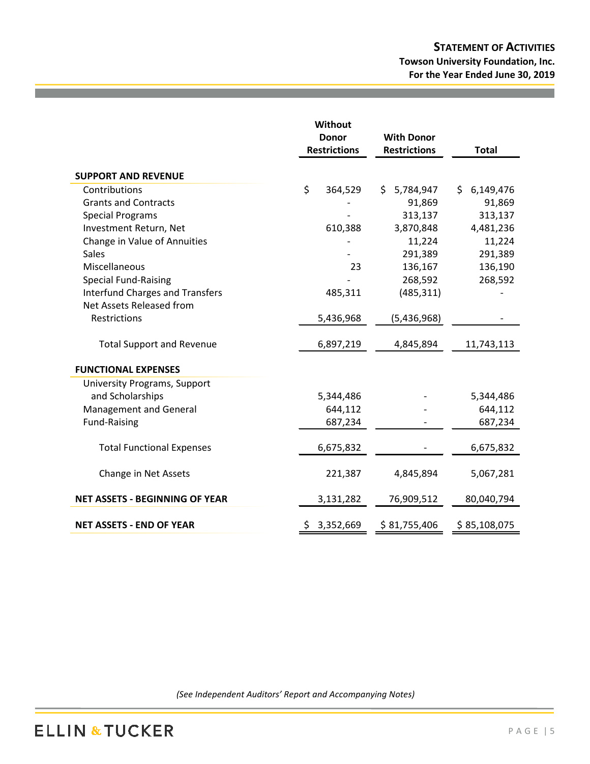|                                        | Without             |                     |                 |
|----------------------------------------|---------------------|---------------------|-----------------|
|                                        | <b>Donor</b>        | <b>With Donor</b>   |                 |
|                                        | <b>Restrictions</b> | <b>Restrictions</b> | <b>Total</b>    |
| <b>SUPPORT AND REVENUE</b>             |                     |                     |                 |
| Contributions                          | \$<br>364,529       | \$.<br>5,784,947    | 6,149,476<br>Ś. |
| <b>Grants and Contracts</b>            |                     | 91,869              | 91,869          |
| <b>Special Programs</b>                |                     | 313,137             | 313,137         |
| Investment Return, Net                 | 610,388             | 3,870,848           | 4,481,236       |
| Change in Value of Annuities           |                     | 11,224              | 11,224          |
| <b>Sales</b>                           |                     | 291,389             | 291,389         |
| Miscellaneous                          | 23                  | 136,167             | 136,190         |
| <b>Special Fund-Raising</b>            |                     | 268,592             | 268,592         |
| <b>Interfund Charges and Transfers</b> | 485,311             | (485, 311)          |                 |
| Net Assets Released from               |                     |                     |                 |
| Restrictions                           | 5,436,968           | (5,436,968)         |                 |
| <b>Total Support and Revenue</b>       | 6,897,219           | 4,845,894           | 11,743,113      |
| <b>FUNCTIONAL EXPENSES</b>             |                     |                     |                 |
| <b>University Programs, Support</b>    |                     |                     |                 |
| and Scholarships                       | 5,344,486           |                     | 5,344,486       |
| Management and General                 | 644,112             |                     | 644,112         |
| <b>Fund-Raising</b>                    | 687,234             |                     | 687,234         |
|                                        |                     |                     |                 |
| <b>Total Functional Expenses</b>       | 6,675,832           |                     | 6,675,832       |
| Change in Net Assets                   | 221,387             | 4,845,894           | 5,067,281       |
| <b>NET ASSETS - BEGINNING OF YEAR</b>  | 3,131,282           | 76,909,512          | 80,040,794      |
| <b>NET ASSETS - END OF YEAR</b>        | \$3,352,669         | \$81,755,406        | \$85,108,075    |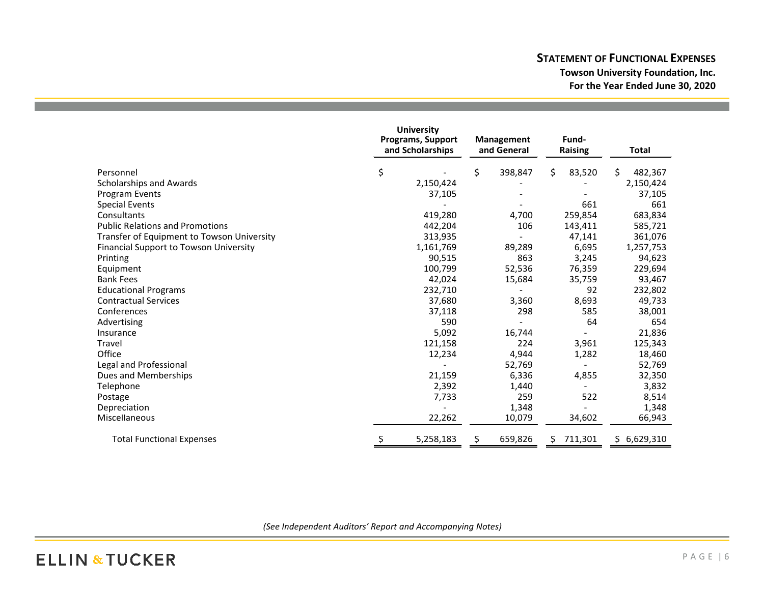# **STATEMENT OF FUNCTIONAL EXPENSES**

**Towson University Foundation, Inc. For the Year Ended June 30, 2020**

|                                            | <b>University</b><br><b>Programs, Support</b><br>and Scholarships | <b>Management</b><br>and General | Fund-<br><b>Raising</b> | <b>Total</b>    |
|--------------------------------------------|-------------------------------------------------------------------|----------------------------------|-------------------------|-----------------|
| Personnel                                  | \$                                                                | \$<br>398,847                    | \$<br>83,520            | 482,367<br>S.   |
| Scholarships and Awards                    | 2,150,424                                                         |                                  |                         | 2,150,424       |
| Program Events                             | 37,105                                                            |                                  |                         | 37,105          |
| <b>Special Events</b>                      |                                                                   |                                  | 661                     | 661             |
| Consultants                                | 419,280                                                           | 4,700                            | 259,854                 | 683,834         |
| <b>Public Relations and Promotions</b>     | 442,204                                                           | 106                              | 143,411                 | 585,721         |
| Transfer of Equipment to Towson University | 313,935                                                           |                                  | 47,141                  | 361,076         |
| Financial Support to Towson University     | 1,161,769                                                         | 89,289                           | 6,695                   | 1,257,753       |
| Printing                                   | 90,515                                                            | 863                              | 3,245                   | 94,623          |
| Equipment                                  | 100,799                                                           | 52,536                           | 76,359                  | 229,694         |
| <b>Bank Fees</b>                           | 42,024                                                            | 15,684                           | 35,759                  | 93,467          |
| <b>Educational Programs</b>                | 232,710                                                           |                                  | 92                      | 232,802         |
| <b>Contractual Services</b>                | 37,680                                                            | 3,360                            | 8,693                   | 49,733          |
| Conferences                                | 37,118                                                            | 298                              | 585                     | 38,001          |
| Advertising                                | 590                                                               |                                  | 64                      | 654             |
| Insurance                                  | 5,092                                                             | 16,744                           |                         | 21,836          |
| <b>Travel</b>                              | 121,158                                                           | 224                              | 3,961                   | 125,343         |
| Office                                     | 12,234                                                            | 4,944                            | 1,282                   | 18,460          |
| Legal and Professional                     |                                                                   | 52,769                           |                         | 52,769          |
| Dues and Memberships                       | 21,159                                                            | 6,336                            | 4,855                   | 32,350          |
| Telephone                                  | 2,392                                                             | 1,440                            |                         | 3,832           |
| Postage                                    | 7,733                                                             | 259                              | 522                     | 8,514           |
| Depreciation                               |                                                                   | 1,348                            |                         | 1,348           |
| Miscellaneous                              | 22,262                                                            | 10,079                           | 34,602                  | 66,943          |
| <b>Total Functional Expenses</b>           | \$<br>5,258,183                                                   | 659,826                          | 711,301                 | 6,629,310<br>S. |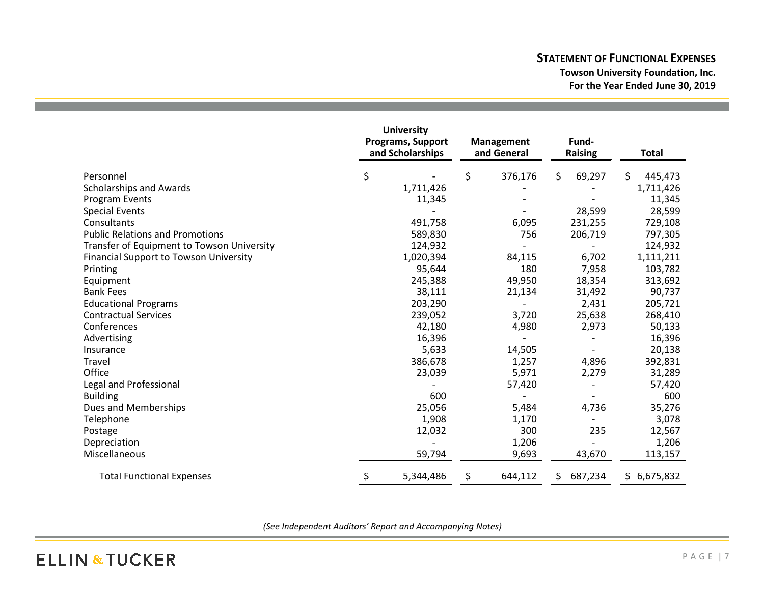# **STATEMENT OF FUNCTIONAL EXPENSES Towson University Foundation, Inc. For the Year Ended June 30, 2019**

|                                               | <b>University</b><br>Programs, Support<br>and Scholarships | <b>Management</b><br>and General | Fund-<br><b>Raising</b> | <b>Total</b>   |
|-----------------------------------------------|------------------------------------------------------------|----------------------------------|-------------------------|----------------|
| Personnel                                     | \$                                                         | \$<br>376,176                    | \$<br>69,297            | \$.<br>445,473 |
| <b>Scholarships and Awards</b>                | 1,711,426                                                  |                                  |                         | 1,711,426      |
| Program Events                                | 11,345                                                     |                                  |                         | 11,345         |
| <b>Special Events</b>                         |                                                            |                                  | 28,599                  | 28,599         |
| Consultants                                   | 491,758                                                    | 6,095                            | 231,255                 | 729,108        |
| <b>Public Relations and Promotions</b>        | 589,830                                                    | 756                              | 206,719                 | 797,305        |
| Transfer of Equipment to Towson University    | 124,932                                                    |                                  |                         | 124,932        |
| <b>Financial Support to Towson University</b> | 1,020,394                                                  | 84,115                           | 6,702                   | 1,111,211      |
| Printing                                      | 95,644                                                     | 180                              | 7,958                   | 103,782        |
| Equipment                                     | 245,388                                                    | 49,950                           | 18,354                  | 313,692        |
| <b>Bank Fees</b>                              | 38,111                                                     | 21,134                           | 31,492                  | 90,737         |
| <b>Educational Programs</b>                   | 203,290                                                    |                                  | 2,431                   | 205,721        |
| <b>Contractual Services</b>                   | 239,052                                                    | 3,720                            | 25,638                  | 268,410        |
| Conferences                                   | 42,180                                                     | 4,980                            | 2,973                   | 50,133         |
| Advertising                                   | 16,396                                                     |                                  |                         | 16,396         |
| Insurance                                     | 5,633                                                      | 14,505                           |                         | 20,138         |
| Travel                                        | 386,678                                                    | 1,257                            | 4,896                   | 392,831        |
| Office                                        | 23,039                                                     | 5,971                            | 2,279                   | 31,289         |
| Legal and Professional                        |                                                            | 57,420                           |                         | 57,420         |
| <b>Building</b>                               | 600                                                        |                                  |                         | 600            |
| Dues and Memberships                          | 25,056                                                     | 5,484                            | 4,736                   | 35,276         |
| Telephone                                     | 1,908                                                      | 1,170                            |                         | 3,078          |
| Postage                                       | 12,032                                                     | 300                              | 235                     | 12,567         |
| Depreciation                                  |                                                            | 1,206                            |                         | 1,206          |
| Miscellaneous                                 | 59,794                                                     | 9,693                            | 43,670                  | 113,157        |
| <b>Total Functional Expenses</b>              | 5,344,486<br>Ş                                             | 644,112<br>Ş                     | 687,234<br>S.           | \$6,675,832    |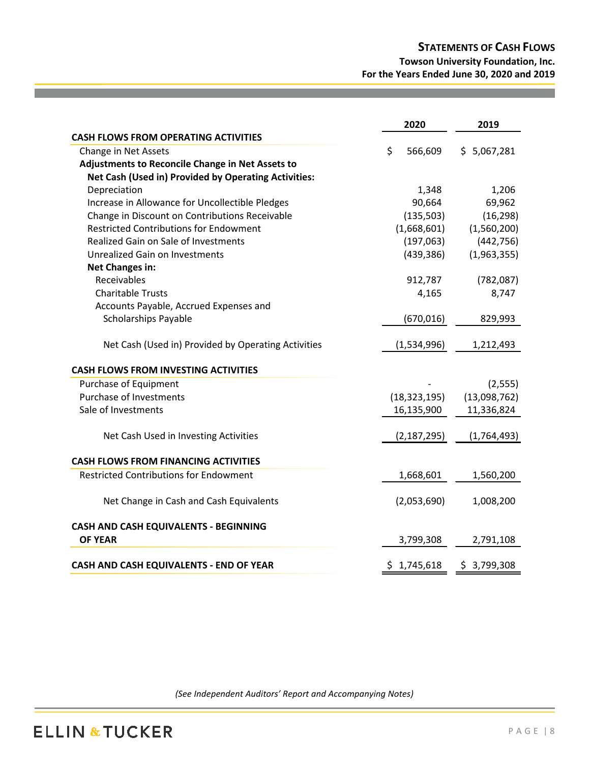|                                                      | 2020           | 2019         |
|------------------------------------------------------|----------------|--------------|
| <b>CASH FLOWS FROM OPERATING ACTIVITIES</b>          |                |              |
| Change in Net Assets                                 | \$<br>566,609  | \$5,067,281  |
| Adjustments to Reconcile Change in Net Assets to     |                |              |
| Net Cash (Used in) Provided by Operating Activities: |                |              |
| Depreciation                                         | 1,348          | 1,206        |
| Increase in Allowance for Uncollectible Pledges      | 90,664         | 69,962       |
| Change in Discount on Contributions Receivable       | (135, 503)     | (16, 298)    |
| <b>Restricted Contributions for Endowment</b>        | (1,668,601)    | (1,560,200)  |
| Realized Gain on Sale of Investments                 | (197,063)      | (442, 756)   |
| Unrealized Gain on Investments                       | (439, 386)     | (1,963,355)  |
| <b>Net Changes in:</b>                               |                |              |
| Receivables                                          | 912,787        | (782,087)    |
| <b>Charitable Trusts</b>                             | 4,165          | 8,747        |
| Accounts Payable, Accrued Expenses and               |                |              |
| Scholarships Payable                                 | (670, 016)     | 829,993      |
| Net Cash (Used in) Provided by Operating Activities  | (1,534,996)    | 1,212,493    |
| <b>CASH FLOWS FROM INVESTING ACTIVITIES</b>          |                |              |
| Purchase of Equipment                                |                | (2, 555)     |
| Purchase of Investments                              | (18, 323, 195) | (13,098,762) |
| Sale of Investments                                  | 16,135,900     | 11,336,824   |
| Net Cash Used in Investing Activities                | (2, 187, 295)  | (1,764,493)  |
| <b>CASH FLOWS FROM FINANCING ACTIVITIES</b>          |                |              |
| <b>Restricted Contributions for Endowment</b>        | 1,668,601      | 1,560,200    |
| Net Change in Cash and Cash Equivalents              | (2,053,690)    | 1,008,200    |
| <b>CASH AND CASH EQUIVALENTS - BEGINNING</b>         |                |              |
| <b>OF YEAR</b>                                       | 3,799,308      | 2,791,108    |
| CASH AND CASH EQUIVALENTS - END OF YEAR              | \$1,745,618    | \$3,799,308  |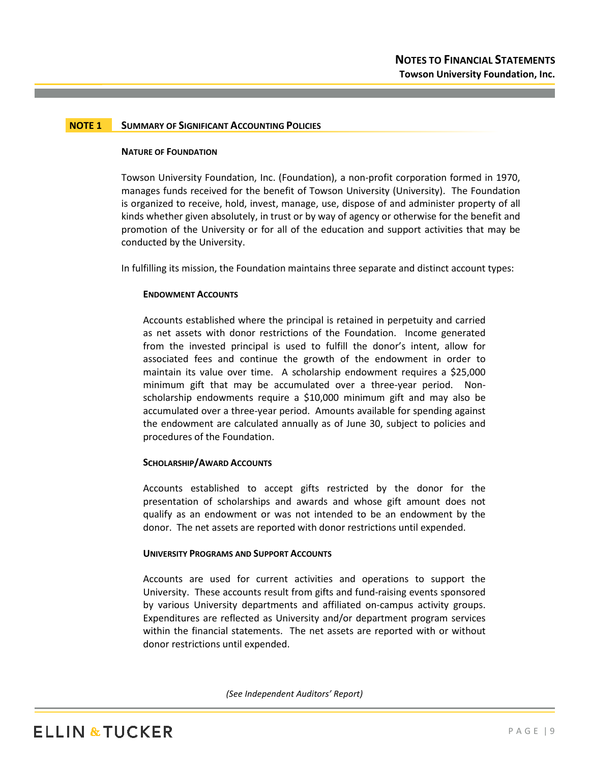#### **NOTE 1 SUMMARY OF SIGNIFICANT ACCOUNTING POLICIES**

#### **NATURE OF FOUNDATION**

Towson University Foundation, Inc. (Foundation), a non-profit corporation formed in 1970, manages funds received for the benefit of Towson University (University). The Foundation is organized to receive, hold, invest, manage, use, dispose of and administer property of all kinds whether given absolutely, in trust or by way of agency or otherwise for the benefit and promotion of the University or for all of the education and support activities that may be conducted by the University.

In fulfilling its mission, the Foundation maintains three separate and distinct account types:

#### **ENDOWMENT ACCOUNTS**

Accounts established where the principal is retained in perpetuity and carried as net assets with donor restrictions of the Foundation. Income generated from the invested principal is used to fulfill the donor's intent, allow for associated fees and continue the growth of the endowment in order to maintain its value over time. A scholarship endowment requires a \$25,000 minimum gift that may be accumulated over a three-year period. Nonscholarship endowments require a \$10,000 minimum gift and may also be accumulated over a three-year period. Amounts available for spending against the endowment are calculated annually as of June 30, subject to policies and procedures of the Foundation.

#### **SCHOLARSHIP/AWARD ACCOUNTS**

Accounts established to accept gifts restricted by the donor for the presentation of scholarships and awards and whose gift amount does not qualify as an endowment or was not intended to be an endowment by the donor. The net assets are reported with donor restrictions until expended.

#### **UNIVERSITY PROGRAMS AND SUPPORT ACCOUNTS**

Accounts are used for current activities and operations to support the University. These accounts result from gifts and fund-raising events sponsored by various University departments and affiliated on-campus activity groups. Expenditures are reflected as University and/or department program services within the financial statements. The net assets are reported with or without donor restrictions until expended.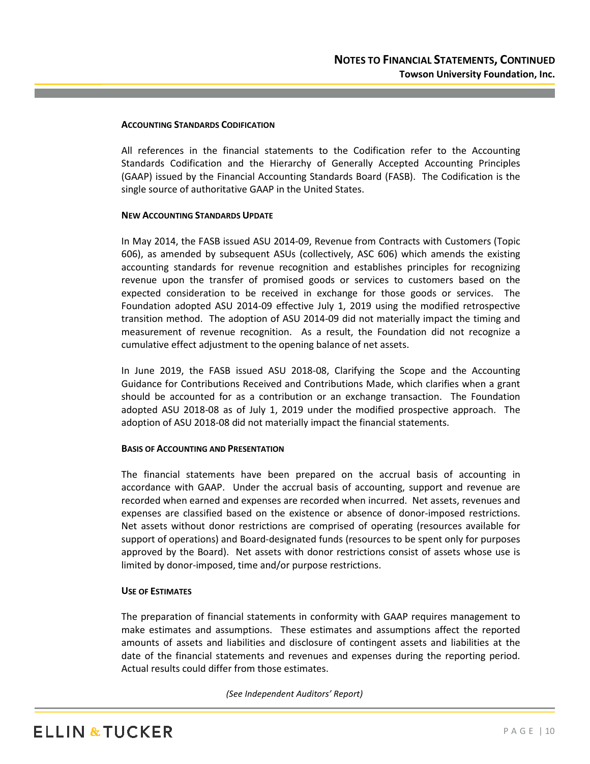#### **ACCOUNTING STANDARDS CODIFICATION**

All references in the financial statements to the Codification refer to the Accounting Standards Codification and the Hierarchy of Generally Accepted Accounting Principles (GAAP) issued by the Financial Accounting Standards Board (FASB). The Codification is the single source of authoritative GAAP in the United States.

#### **NEW ACCOUNTING STANDARDS UPDATE**

In May 2014, the FASB issued ASU 2014-09, Revenue from Contracts with Customers (Topic 606), as amended by subsequent ASUs (collectively, ASC 606) which amends the existing accounting standards for revenue recognition and establishes principles for recognizing revenue upon the transfer of promised goods or services to customers based on the expected consideration to be received in exchange for those goods or services. The Foundation adopted ASU 2014-09 effective July 1, 2019 using the modified retrospective transition method. The adoption of ASU 2014-09 did not materially impact the timing and measurement of revenue recognition. As a result, the Foundation did not recognize a cumulative effect adjustment to the opening balance of net assets.

In June 2019, the FASB issued ASU 2018-08, Clarifying the Scope and the Accounting Guidance for Contributions Received and Contributions Made, which clarifies when a grant should be accounted for as a contribution or an exchange transaction. The Foundation adopted ASU 2018-08 as of July 1, 2019 under the modified prospective approach. The adoption of ASU 2018-08 did not materially impact the financial statements.

#### **BASIS OF ACCOUNTING AND PRESENTATION**

The financial statements have been prepared on the accrual basis of accounting in accordance with GAAP. Under the accrual basis of accounting, support and revenue are recorded when earned and expenses are recorded when incurred. Net assets, revenues and expenses are classified based on the existence or absence of donor-imposed restrictions. Net assets without donor restrictions are comprised of operating (resources available for support of operations) and Board-designated funds (resources to be spent only for purposes approved by the Board). Net assets with donor restrictions consist of assets whose use is limited by donor-imposed, time and/or purpose restrictions.

#### **USE OF ESTIMATES**

The preparation of financial statements in conformity with GAAP requires management to make estimates and assumptions. These estimates and assumptions affect the reported amounts of assets and liabilities and disclosure of contingent assets and liabilities at the date of the financial statements and revenues and expenses during the reporting period. Actual results could differ from those estimates.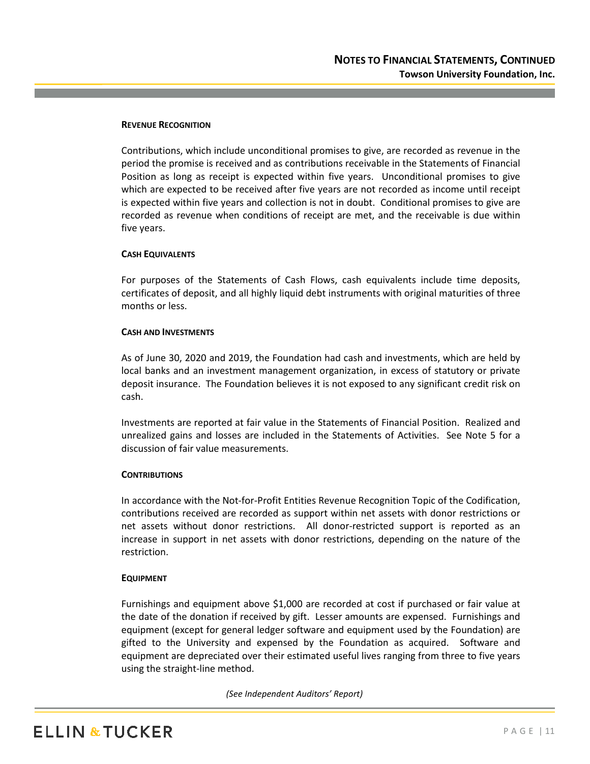#### **REVENUE RECOGNITION**

Contributions, which include unconditional promises to give, are recorded as revenue in the period the promise is received and as contributions receivable in the Statements of Financial Position as long as receipt is expected within five years. Unconditional promises to give which are expected to be received after five years are not recorded as income until receipt is expected within five years and collection is not in doubt. Conditional promises to give are recorded as revenue when conditions of receipt are met, and the receivable is due within five years.

#### **CASH EQUIVALENTS**

For purposes of the Statements of Cash Flows, cash equivalents include time deposits, certificates of deposit, and all highly liquid debt instruments with original maturities of three months or less.

#### **CASH AND INVESTMENTS**

As of June 30, 2020 and 2019, the Foundation had cash and investments, which are held by local banks and an investment management organization, in excess of statutory or private deposit insurance. The Foundation believes it is not exposed to any significant credit risk on cash.

Investments are reported at fair value in the Statements of Financial Position. Realized and unrealized gains and losses are included in the Statements of Activities. See Note 5 for a discussion of fair value measurements.

#### **CONTRIBUTIONS**

In accordance with the Not-for-Profit Entities Revenue Recognition Topic of the Codification, contributions received are recorded as support within net assets with donor restrictions or net assets without donor restrictions. All donor-restricted support is reported as an increase in support in net assets with donor restrictions, depending on the nature of the restriction.

#### **EQUIPMENT**

Furnishings and equipment above \$1,000 are recorded at cost if purchased or fair value at the date of the donation if received by gift. Lesser amounts are expensed. Furnishings and equipment (except for general ledger software and equipment used by the Foundation) are gifted to the University and expensed by the Foundation as acquired. Software and equipment are depreciated over their estimated useful lives ranging from three to five years using the straight-line method.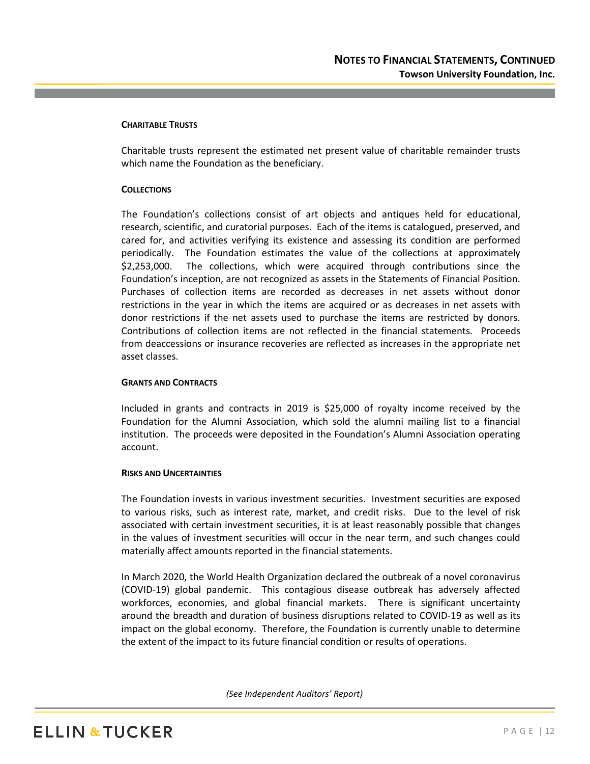#### **CHARITABLE TRUSTS**

Charitable trusts represent the estimated net present value of charitable remainder trusts which name the Foundation as the beneficiary.

#### **COLLECTIONS**

The Foundation's collections consist of art objects and antiques held for educational, research, scientific, and curatorial purposes. Each of the items is catalogued, preserved, and cared for, and activities verifying its existence and assessing its condition are performed periodically. The Foundation estimates the value of the collections at approximately \$2,253,000. The collections, which were acquired through contributions since the Foundation's inception, are not recognized as assets in the Statements of Financial Position. Purchases of collection items are recorded as decreases in net assets without donor restrictions in the year in which the items are acquired or as decreases in net assets with donor restrictions if the net assets used to purchase the items are restricted by donors. Contributions of collection items are not reflected in the financial statements. Proceeds from deaccessions or insurance recoveries are reflected as increases in the appropriate net asset classes.

#### **GRANTS AND CONTRACTS**

Included in grants and contracts in 2019 is \$25,000 of royalty income received by the Foundation for the Alumni Association, which sold the alumni mailing list to a financial institution. The proceeds were deposited in the Foundation's Alumni Association operating account.

#### **RISKS AND UNCERTAINTIES**

The Foundation invests in various investment securities. Investment securities are exposed to various risks, such as interest rate, market, and credit risks. Due to the level of risk associated with certain investment securities, it is at least reasonably possible that changes in the values of investment securities will occur in the near term, and such changes could materially affect amounts reported in the financial statements.

In March 2020, the World Health Organization declared the outbreak of a novel coronavirus (COVID-19) global pandemic. This contagious disease outbreak has adversely affected workforces, economies, and global financial markets. There is significant uncertainty around the breadth and duration of business disruptions related to COVID-19 as well as its impact on the global economy. Therefore, the Foundation is currently unable to determine the extent of the impact to its future financial condition or results of operations.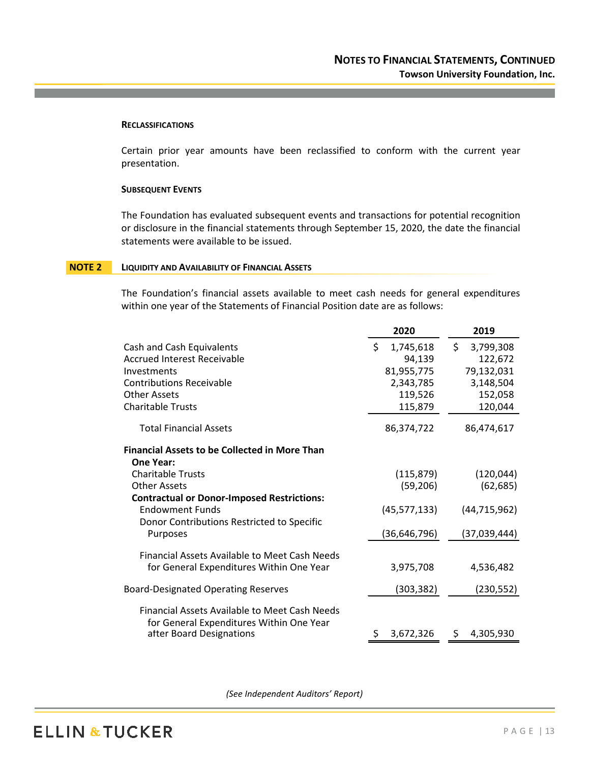#### **RECLASSIFICATIONS**

Certain prior year amounts have been reclassified to conform with the current year presentation.

#### **SUBSEQUENT EVENTS**

The Foundation has evaluated subsequent events and transactions for potential recognition or disclosure in the financial statements through September 15, 2020, the date the financial statements were available to be issued.

#### **NOTE 2 LIQUIDITY AND AVAILABILITY OF FINANCIAL ASSETS**

The Foundation's financial assets available to meet cash needs for general expenditures within one year of the Statements of Financial Position date are as follows:

|                                                      | 2020             | 2019             |
|------------------------------------------------------|------------------|------------------|
| Cash and Cash Equivalents                            | \$<br>1,745,618  | \$.<br>3,799,308 |
| <b>Accrued Interest Receivable</b>                   | 94,139           | 122,672          |
| Investments                                          | 81,955,775       | 79,132,031       |
| <b>Contributions Receivable</b>                      | 2,343,785        | 3,148,504        |
| <b>Other Assets</b>                                  | 119,526          | 152,058          |
| <b>Charitable Trusts</b>                             | 115,879          | 120,044          |
| <b>Total Financial Assets</b>                        | 86,374,722       | 86,474,617       |
| <b>Financial Assets to be Collected in More Than</b> |                  |                  |
| One Year:                                            |                  |                  |
| <b>Charitable Trusts</b>                             | (115, 879)       | (120, 044)       |
| Other Assets                                         | (59, 206)        | (62, 685)        |
| <b>Contractual or Donor-Imposed Restrictions:</b>    |                  |                  |
| Endowment Funds                                      | (45, 577, 133)   | (44, 715, 962)   |
| Donor Contributions Restricted to Specific           |                  |                  |
| Purposes                                             | (36,646,796)     | (37,039,444)     |
| Financial Assets Available to Meet Cash Needs        |                  |                  |
| for General Expenditures Within One Year             | 3,975,708        | 4,536,482        |
| <b>Board-Designated Operating Reserves</b>           | (303,382)        | (230, 552)       |
| Financial Assets Available to Meet Cash Needs        |                  |                  |
| for General Expenditures Within One Year             |                  |                  |
| after Board Designations                             | \$.<br>3,672,326 | \$.<br>4,305,930 |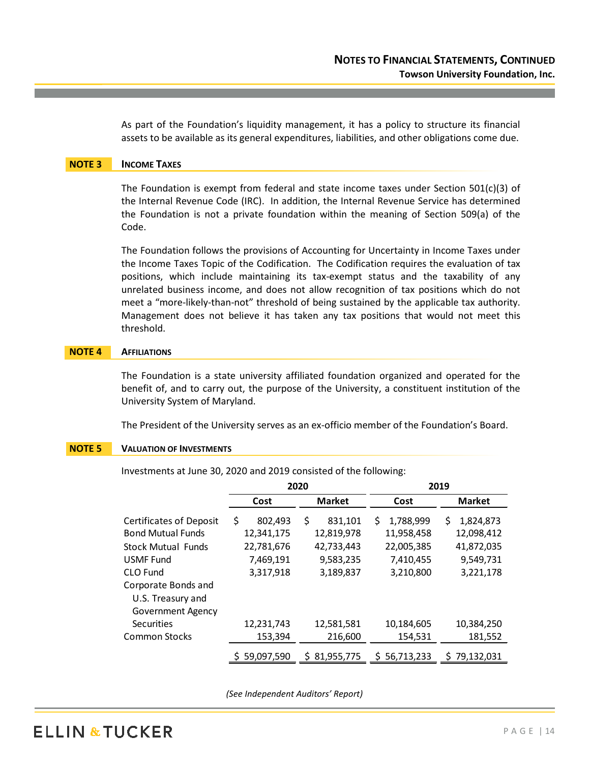As part of the Foundation's liquidity management, it has a policy to structure its financial assets to be available as its general expenditures, liabilities, and other obligations come due.

#### **NOTE 3 INCOME TAXES**

The Foundation is exempt from federal and state income taxes under Section 501(c)(3) of the Internal Revenue Code (IRC). In addition, the Internal Revenue Service has determined the Foundation is not a private foundation within the meaning of Section 509(a) of the Code.

The Foundation follows the provisions of Accounting for Uncertainty in Income Taxes under the Income Taxes Topic of the Codification. The Codification requires the evaluation of tax positions, which include maintaining its tax-exempt status and the taxability of any unrelated business income, and does not allow recognition of tax positions which do not meet a "more-likely-than-not" threshold of being sustained by the applicable tax authority. Management does not believe it has taken any tax positions that would not meet this threshold.

#### **NOTE 4 AFFILIATIONS**

The Foundation is a state university affiliated foundation organized and operated for the benefit of, and to carry out, the purpose of the University, a constituent institution of the University System of Maryland.

The President of the University serves as an ex-officio member of the Foundation's Board.

#### **NOTE 5 VALUATION OF INVESTMENTS**

Investments at June 30, 2020 and 2019 consisted of the following:

|                                                                      |               | 2020          |                  | 2019             |
|----------------------------------------------------------------------|---------------|---------------|------------------|------------------|
|                                                                      | Cost          | <b>Market</b> | Cost             | <b>Market</b>    |
| <b>Certificates of Deposit</b>                                       | \$<br>802,493 | \$<br>831,101 | 1,788,999<br>Ś   | Ś<br>1,824,873   |
| <b>Bond Mutual Funds</b>                                             | 12,341,175    | 12,819,978    | 11,958,458       | 12,098,412       |
| <b>Stock Mutual Funds</b>                                            | 22,781,676    | 42,733,443    | 22,005,385       | 41,872,035       |
| <b>USMF Fund</b>                                                     | 7,469,191     | 9,583,235     | 7,410,455        | 9,549,731        |
| <b>CLO Fund</b>                                                      | 3,317,918     | 3,189,837     | 3,210,800        | 3,221,178        |
| Corporate Bonds and<br>U.S. Treasury and<br><b>Government Agency</b> |               |               |                  |                  |
| <b>Securities</b>                                                    | 12,231,743    | 12,581,581    | 10,184,605       | 10,384,250       |
| <b>Common Stocks</b>                                                 | 153,394       | 216,600       | 154,531          | 181,552          |
|                                                                      | \$59,097,590  | \$31,955,775  | 56,713,233<br>S. | 79,132,031<br>Ś. |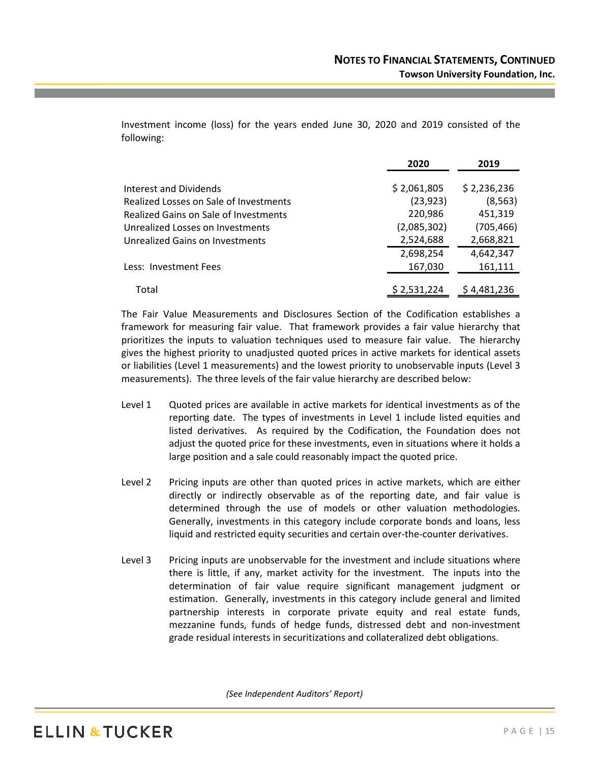Investment income (loss) for the years ended June 30, 2020 and 2019 consisted of the following:

|                                        | 2020        | 2019        |
|----------------------------------------|-------------|-------------|
| Interest and Dividends                 | \$2,061,805 | \$2,236,236 |
| Realized Losses on Sale of Investments | (23, 923)   | (8, 563)    |
| Realized Gains on Sale of Investments  | 220,986     | 451,319     |
| Unrealized Losses on Investments       | (2,085,302) | (705, 466)  |
| Unrealized Gains on Investments        | 2,524,688   | 2,668,821   |
|                                        | 2,698,254   | 4,642,347   |
| Less: Investment Fees                  | 167,030     | 161,111     |
| Total                                  | \$2,531,224 | \$4,481,236 |

The Fair Value Measurements and Disclosures Section of the Codification establishes a framework for measuring fair value. That framework provides a fair value hierarchy that prioritizes the inputs to valuation techniques used to measure fair value. The hierarchy gives the highest priority to unadjusted quoted prices in active markets for identical assets or liabilities (Level 1 measurements) and the lowest priority to unobservable inputs (Level 3 measurements). The three levels of the fair value hierarchy are described below:

- Level 1 Quoted prices are available in active markets for identical investments as of the reporting date. The types of investments in Level 1 include listed equities and listed derivatives. As required by the Codification, the Foundation does not adjust the quoted price for these investments, even in situations where it holds a large position and a sale could reasonably impact the quoted price.
- Level 2 Pricing inputs are other than quoted prices in active markets, which are either directly or indirectly observable as of the reporting date, and fair value is determined through the use of models or other valuation methodologies. Generally, investments in this category include corporate bonds and loans, less liquid and restricted equity securities and certain over-the-counter derivatives.
- Level 3 Pricing inputs are unobservable for the investment and include situations where there is little, if any, market activity for the investment. The inputs into the determination of fair value require significant management judgment or estimation. Generally, investments in this category include general and limited partnership interests in corporate private equity and real estate funds, mezzanine funds, funds of hedge funds, distressed debt and non-investment grade residual interests in securitizations and collateralized debt obligations.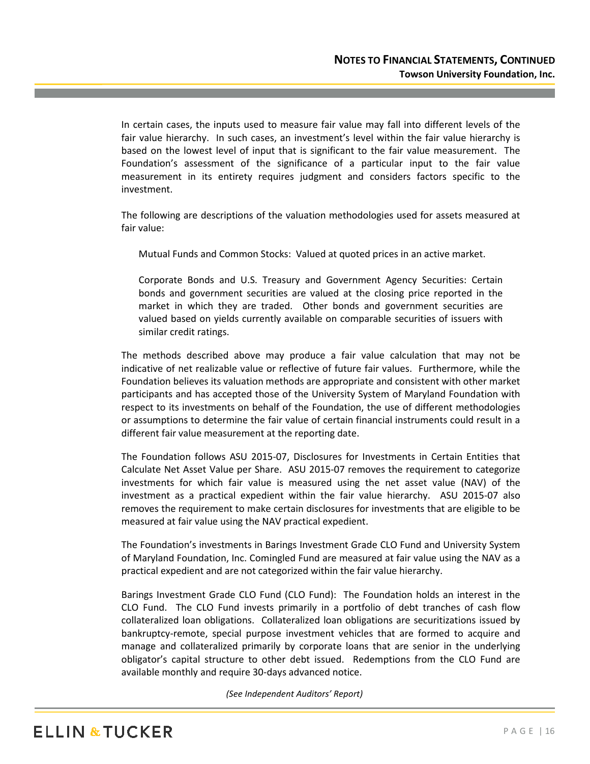In certain cases, the inputs used to measure fair value may fall into different levels of the fair value hierarchy. In such cases, an investment's level within the fair value hierarchy is based on the lowest level of input that is significant to the fair value measurement. The Foundation's assessment of the significance of a particular input to the fair value measurement in its entirety requires judgment and considers factors specific to the investment.

The following are descriptions of the valuation methodologies used for assets measured at fair value:

Mutual Funds and Common Stocks: Valued at quoted prices in an active market.

Corporate Bonds and U.S. Treasury and Government Agency Securities: Certain bonds and government securities are valued at the closing price reported in the market in which they are traded. Other bonds and government securities are valued based on yields currently available on comparable securities of issuers with similar credit ratings.

The methods described above may produce a fair value calculation that may not be indicative of net realizable value or reflective of future fair values. Furthermore, while the Foundation believes its valuation methods are appropriate and consistent with other market participants and has accepted those of the University System of Maryland Foundation with respect to its investments on behalf of the Foundation, the use of different methodologies or assumptions to determine the fair value of certain financial instruments could result in a different fair value measurement at the reporting date.

The Foundation follows ASU 2015-07, Disclosures for Investments in Certain Entities that Calculate Net Asset Value per Share. ASU 2015-07 removes the requirement to categorize investments for which fair value is measured using the net asset value (NAV) of the investment as a practical expedient within the fair value hierarchy. ASU 2015-07 also removes the requirement to make certain disclosures for investments that are eligible to be measured at fair value using the NAV practical expedient.

The Foundation's investments in Barings Investment Grade CLO Fund and University System of Maryland Foundation, Inc. Comingled Fund are measured at fair value using the NAV as a practical expedient and are not categorized within the fair value hierarchy.

Barings Investment Grade CLO Fund (CLO Fund): The Foundation holds an interest in the CLO Fund. The CLO Fund invests primarily in a portfolio of debt tranches of cash flow collateralized loan obligations. Collateralized loan obligations are securitizations issued by bankruptcy-remote, special purpose investment vehicles that are formed to acquire and manage and collateralized primarily by corporate loans that are senior in the underlying obligator's capital structure to other debt issued. Redemptions from the CLO Fund are available monthly and require 30-days advanced notice.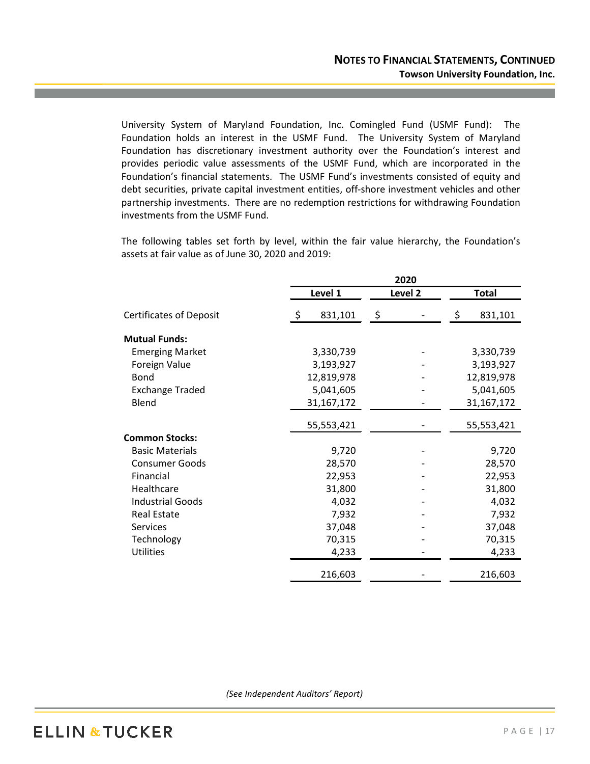University System of Maryland Foundation, Inc. Comingled Fund (USMF Fund): The Foundation holds an interest in the USMF Fund. The University System of Maryland Foundation has discretionary investment authority over the Foundation's interest and provides periodic value assessments of the USMF Fund, which are incorporated in the Foundation's financial statements. The USMF Fund's investments consisted of equity and debt securities, private capital investment entities, off-shore investment vehicles and other partnership investments. There are no redemption restrictions for withdrawing Foundation investments from the USMF Fund.

The following tables set forth by level, within the fair value hierarchy, the Foundation's assets at fair value as of June 30, 2020 and 2019:

|                                |               | 2020               |               |
|--------------------------------|---------------|--------------------|---------------|
|                                | Level 1       | Level <sub>2</sub> | <b>Total</b>  |
| <b>Certificates of Deposit</b> | \$<br>831,101 | \$                 | \$<br>831,101 |
| <b>Mutual Funds:</b>           |               |                    |               |
| <b>Emerging Market</b>         | 3,330,739     |                    | 3,330,739     |
| Foreign Value                  | 3,193,927     |                    | 3,193,927     |
| Bond                           | 12,819,978    |                    | 12,819,978    |
| <b>Exchange Traded</b>         | 5,041,605     |                    | 5,041,605     |
| Blend                          | 31, 167, 172  |                    | 31,167,172    |
|                                | 55,553,421    |                    | 55,553,421    |
| <b>Common Stocks:</b>          |               |                    |               |
| <b>Basic Materials</b>         | 9,720         |                    | 9,720         |
| <b>Consumer Goods</b>          | 28,570        |                    | 28,570        |
| Financial                      | 22,953        |                    | 22,953        |
| Healthcare                     | 31,800        |                    | 31,800        |
| <b>Industrial Goods</b>        | 4,032         |                    | 4,032         |
| Real Estate                    | 7,932         |                    | 7,932         |
| Services                       | 37,048        |                    | 37,048        |
| Technology                     | 70,315        |                    | 70,315        |
| <b>Utilities</b>               | 4,233         |                    | 4,233         |
|                                | 216,603       |                    | 216,603       |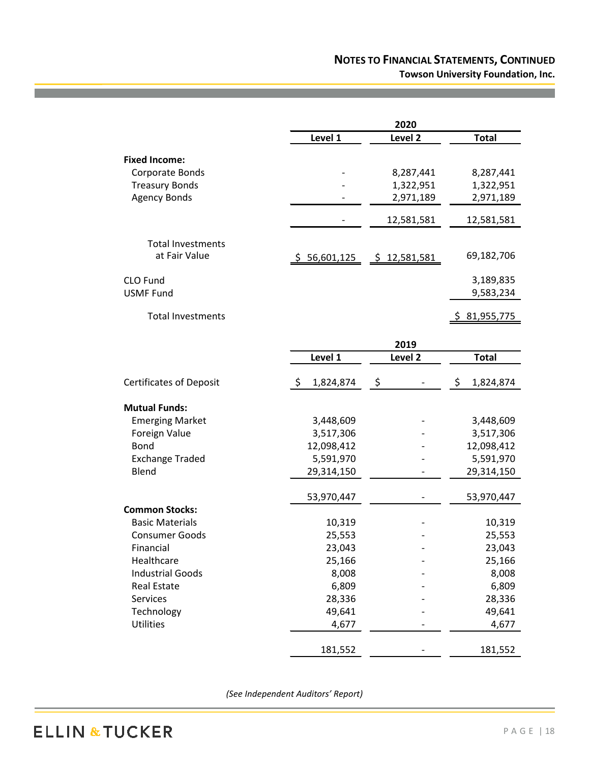# **NOTES TO FINANCIAL STATEMENTS, CONTINUED Towson University Foundation, Inc.**

|                                |                 | 2020         |                 |  |
|--------------------------------|-----------------|--------------|-----------------|--|
|                                | Level 1         | Level 2      | <b>Total</b>    |  |
| <b>Fixed Income:</b>           |                 |              |                 |  |
| <b>Corporate Bonds</b>         |                 | 8,287,441    | 8,287,441       |  |
| <b>Treasury Bonds</b>          |                 | 1,322,951    | 1,322,951       |  |
| <b>Agency Bonds</b>            |                 | 2,971,189    | 2,971,189       |  |
|                                |                 | 12,581,581   | 12,581,581      |  |
| <b>Total Investments</b>       |                 |              |                 |  |
| at Fair Value                  | \$56,601,125    | \$12,581,581 | 69,182,706      |  |
| <b>CLO Fund</b>                |                 |              | 3,189,835       |  |
| <b>USMF Fund</b>               |                 |              | 9,583,234       |  |
| <b>Total Investments</b>       |                 |              | \$ 81,955,775   |  |
|                                |                 | 2019         |                 |  |
|                                | Level 1         | Level 2      | <b>Total</b>    |  |
|                                |                 |              |                 |  |
| <b>Certificates of Deposit</b> | \$<br>1,824,874 | \$           | \$<br>1,824,874 |  |
| <b>Mutual Funds:</b>           |                 |              |                 |  |
| <b>Emerging Market</b>         | 3,448,609       |              | 3,448,609       |  |
| Foreign Value                  | 3,517,306       |              | 3,517,306       |  |
| Bond                           | 12,098,412      |              | 12,098,412      |  |
| <b>Exchange Traded</b>         | 5,591,970       |              | 5,591,970       |  |
| Blend                          | 29,314,150      |              | 29,314,150      |  |
|                                | 53,970,447      |              | 53,970,447      |  |
| <b>Common Stocks:</b>          |                 |              |                 |  |
| <b>Basic Materials</b>         | 10,319          |              | 10,319          |  |
| <b>Consumer Goods</b>          | 25,553          |              | 25,553          |  |
| Financial                      | 23,043          |              | 23,043          |  |
| Healthcare                     | 25,166          |              | 25,166          |  |
| <b>Industrial Goods</b>        | 8,008           |              | 8,008           |  |
| Real Estate                    | 6,809           |              | 6,809           |  |
| Services                       | 28,336          |              | 28,336          |  |
| Technology                     | 49,641          |              | 49,641          |  |
| Utilities                      | 4,677           |              | 4,677           |  |
|                                | 181,552         |              | 181,552         |  |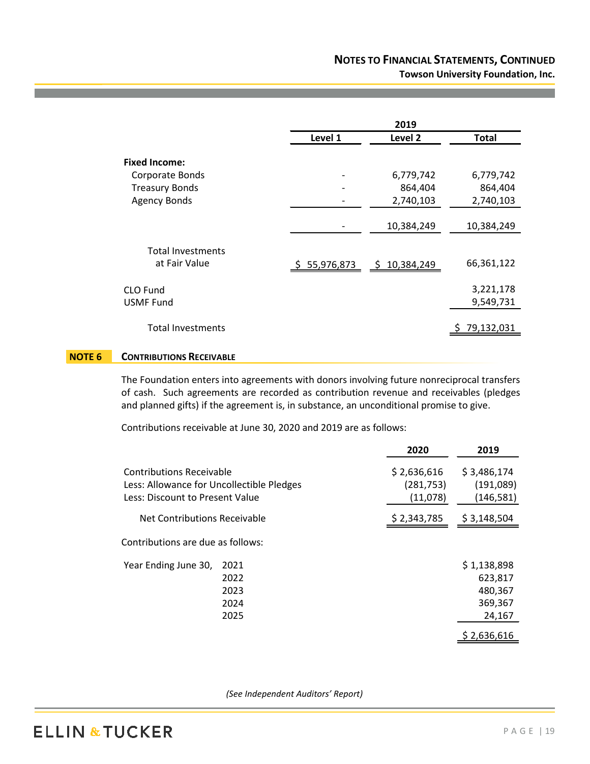|                                           |            | 2019           |              |
|-------------------------------------------|------------|----------------|--------------|
|                                           | Level 1    | Level 2        | <b>Total</b> |
| <b>Fixed Income:</b>                      |            |                |              |
| Corporate Bonds                           |            | 6,779,742      | 6,779,742    |
| <b>Treasury Bonds</b>                     |            | 864,404        | 864,404      |
| <b>Agency Bonds</b>                       |            | 2,740,103      | 2,740,103    |
|                                           |            | 10,384,249     | 10,384,249   |
| <b>Total Investments</b><br>at Fair Value | 55,976,873 | $5$ 10,384,249 | 66,361,122   |
| <b>CLO Fund</b>                           |            |                | 3,221,178    |
| <b>USMF Fund</b>                          |            |                | 9,549,731    |
| <b>Total Investments</b>                  |            |                | 79,132,031   |

### **NOTE 6 CONTRIBUTIONS RECEIVABLE**

The Foundation enters into agreements with donors involving future nonreciprocal transfers of cash. Such agreements are recorded as contribution revenue and receivables (pledges and planned gifts) if the agreement is, in substance, an unconditional promise to give.

Contributions receivable at June 30, 2020 and 2019 are as follows:

|                                                                                                                 |                                      | 2020                                 | 2019                                                   |
|-----------------------------------------------------------------------------------------------------------------|--------------------------------------|--------------------------------------|--------------------------------------------------------|
| <b>Contributions Receivable</b><br>Less: Allowance for Uncollectible Pledges<br>Less: Discount to Present Value |                                      | \$2,636,616<br>(281,753)<br>(11,078) | \$3,486,174<br>(191,089)<br>(146,581)                  |
| Net Contributions Receivable                                                                                    |                                      | \$2,343,785                          | \$3,148,504                                            |
| Contributions are due as follows:                                                                               |                                      |                                      |                                                        |
| Year Ending June 30,                                                                                            | 2021<br>2022<br>2023<br>2024<br>2025 |                                      | \$1,138,898<br>623,817<br>480,367<br>369,367<br>24,167 |
|                                                                                                                 |                                      |                                      | \$2,636,616                                            |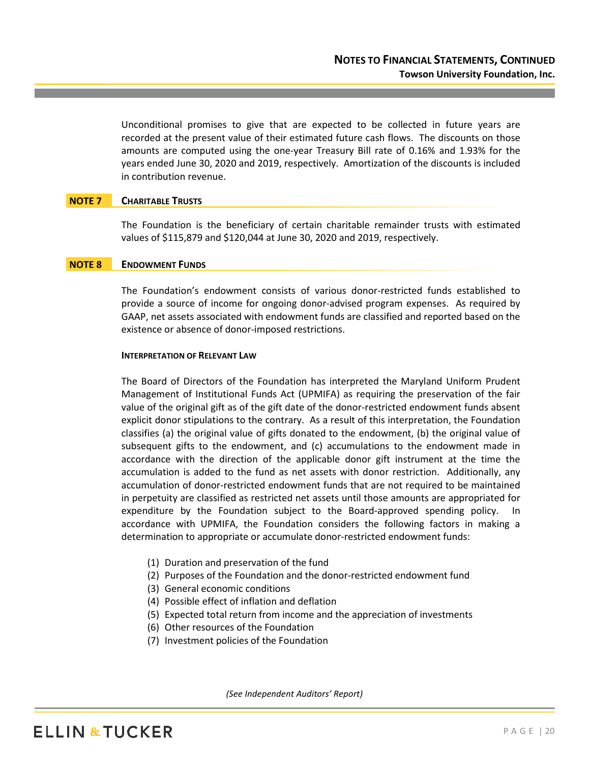Unconditional promises to give that are expected to be collected in future years are recorded at the present value of their estimated future cash flows. The discounts on those amounts are computed using the one-year Treasury Bill rate of 0.16% and 1.93% for the years ended June 30, 2020 and 2019, respectively. Amortization of the discounts is included in contribution revenue.

#### **NOTE 7 CHARITABLE TRUSTS**

The Foundation is the beneficiary of certain charitable remainder trusts with estimated values of \$115,879 and \$120,044 at June 30, 2020 and 2019, respectively.

#### **NOTE 8 ENDOWMENT FUNDS**

The Foundation's endowment consists of various donor-restricted funds established to provide a source of income for ongoing donor-advised program expenses. As required by GAAP, net assets associated with endowment funds are classified and reported based on the existence or absence of donor-imposed restrictions.

#### **INTERPRETATION OF RELEVANT LAW**

The Board of Directors of the Foundation has interpreted the Maryland Uniform Prudent Management of Institutional Funds Act (UPMIFA) as requiring the preservation of the fair value of the original gift as of the gift date of the donor-restricted endowment funds absent explicit donor stipulations to the contrary. As a result of this interpretation, the Foundation classifies (a) the original value of gifts donated to the endowment, (b) the original value of subsequent gifts to the endowment, and (c) accumulations to the endowment made in accordance with the direction of the applicable donor gift instrument at the time the accumulation is added to the fund as net assets with donor restriction. Additionally, any accumulation of donor-restricted endowment funds that are not required to be maintained in perpetuity are classified as restricted net assets until those amounts are appropriated for expenditure by the Foundation subject to the Board-approved spending policy. accordance with UPMIFA, the Foundation considers the following factors in making a determination to appropriate or accumulate donor-restricted endowment funds:

- (1) Duration and preservation of the fund
- (2) Purposes of the Foundation and the donor-restricted endowment fund
- (3) General economic conditions
- (4) Possible effect of inflation and deflation
- (5) Expected total return from income and the appreciation of investments
- (6) Other resources of the Foundation
- (7) Investment policies of the Foundation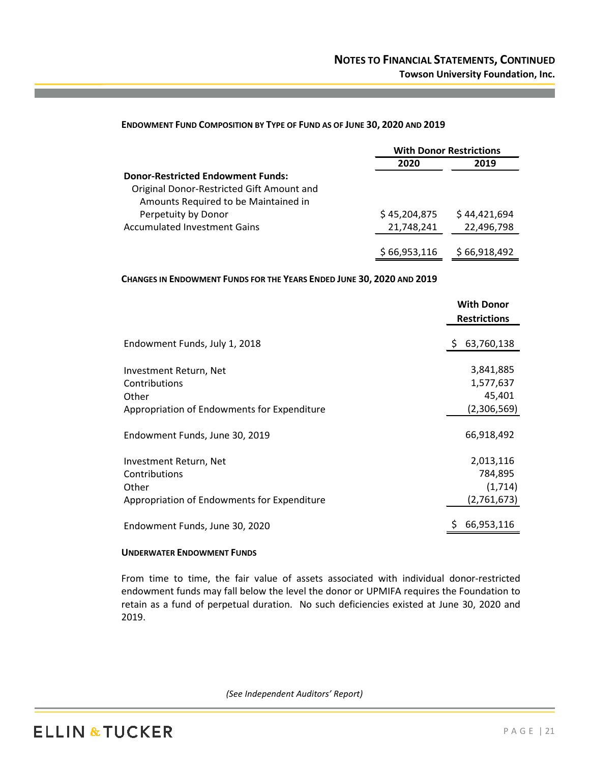#### **ENDOWMENT FUND COMPOSITION BY TYPE OF FUND AS OF JUNE 30, 2020 AND 2019**

|                                           | <b>With Donor Restrictions</b> |              |
|-------------------------------------------|--------------------------------|--------------|
|                                           | 2020                           | 2019         |
| <b>Donor-Restricted Endowment Funds:</b>  |                                |              |
| Original Donor-Restricted Gift Amount and |                                |              |
| Amounts Required to be Maintained in      |                                |              |
| Perpetuity by Donor                       | \$45,204,875                   | \$44,421,694 |
| <b>Accumulated Investment Gains</b>       | 21,748,241                     | 22,496,798   |
|                                           |                                |              |
|                                           | \$66,953,116                   | \$66,918,492 |

#### **CHANGES IN ENDOWMENT FUNDS FOR THE YEARS ENDED JUNE 30, 2020 AND 2019**

|                                             | <b>With Donor</b><br><b>Restrictions</b> |
|---------------------------------------------|------------------------------------------|
|                                             |                                          |
| Endowment Funds, July 1, 2018               | 63,760,138<br>\$                         |
| Investment Return, Net                      | 3,841,885                                |
| Contributions                               | 1,577,637                                |
| Other                                       | 45,401                                   |
| Appropriation of Endowments for Expenditure | (2,306,569)                              |
| Endowment Funds, June 30, 2019              | 66,918,492                               |
| Investment Return, Net                      | 2,013,116                                |
| Contributions                               | 784,895                                  |
| Other                                       | (1,714)                                  |
| Appropriation of Endowments for Expenditure | (2,761,673)                              |
| Endowment Funds, June 30, 2020              | 66,953,116                               |

#### **UNDERWATER ENDOWMENT FUNDS**

From time to time, the fair value of assets associated with individual donor-restricted endowment funds may fall below the level the donor or UPMIFA requires the Foundation to retain as a fund of perpetual duration. No such deficiencies existed at June 30, 2020 and 2019.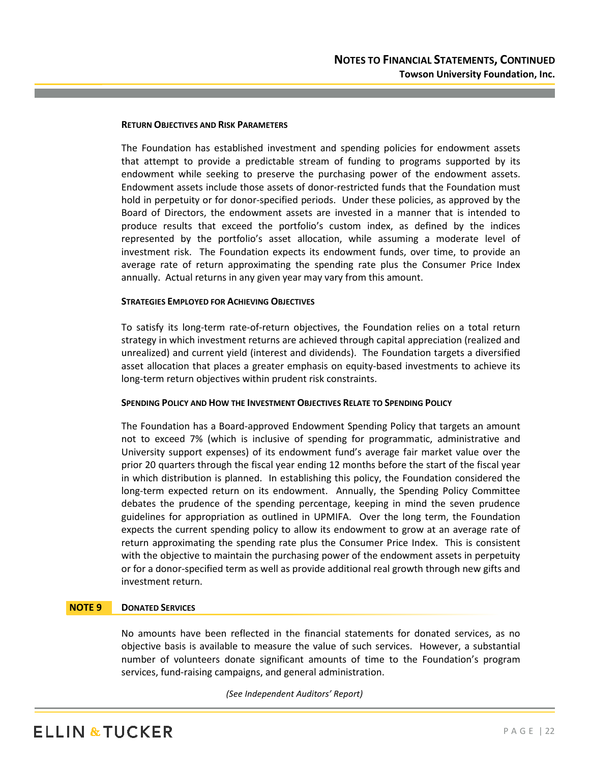#### **RETURN OBJECTIVES AND RISK PARAMETERS**

The Foundation has established investment and spending policies for endowment assets that attempt to provide a predictable stream of funding to programs supported by its endowment while seeking to preserve the purchasing power of the endowment assets. Endowment assets include those assets of donor-restricted funds that the Foundation must hold in perpetuity or for donor-specified periods. Under these policies, as approved by the Board of Directors, the endowment assets are invested in a manner that is intended to produce results that exceed the portfolio's custom index, as defined by the indices represented by the portfolio's asset allocation, while assuming a moderate level of investment risk. The Foundation expects its endowment funds, over time, to provide an average rate of return approximating the spending rate plus the Consumer Price Index annually. Actual returns in any given year may vary from this amount.

#### **STRATEGIES EMPLOYED FOR ACHIEVING OBJECTIVES**

To satisfy its long-term rate-of-return objectives, the Foundation relies on a total return strategy in which investment returns are achieved through capital appreciation (realized and unrealized) and current yield (interest and dividends). The Foundation targets a diversified asset allocation that places a greater emphasis on equity-based investments to achieve its long-term return objectives within prudent risk constraints.

#### **SPENDING POLICY AND HOW THE INVESTMENT OBJECTIVES RELATE TO SPENDING POLICY**

The Foundation has a Board-approved Endowment Spending Policy that targets an amount not to exceed 7% (which is inclusive of spending for programmatic, administrative and University support expenses) of its endowment fund's average fair market value over the prior 20 quarters through the fiscal year ending 12 months before the start of the fiscal year in which distribution is planned. In establishing this policy, the Foundation considered the long-term expected return on its endowment. Annually, the Spending Policy Committee debates the prudence of the spending percentage, keeping in mind the seven prudence guidelines for appropriation as outlined in UPMIFA. Over the long term, the Foundation expects the current spending policy to allow its endowment to grow at an average rate of return approximating the spending rate plus the Consumer Price Index. This is consistent with the objective to maintain the purchasing power of the endowment assets in perpetuity or for a donor-specified term as well as provide additional real growth through new gifts and investment return.

#### **NOTE 9 DONATED SERVICES**

No amounts have been reflected in the financial statements for donated services, as no objective basis is available to measure the value of such services. However, a substantial number of volunteers donate significant amounts of time to the Foundation's program services, fund-raising campaigns, and general administration.